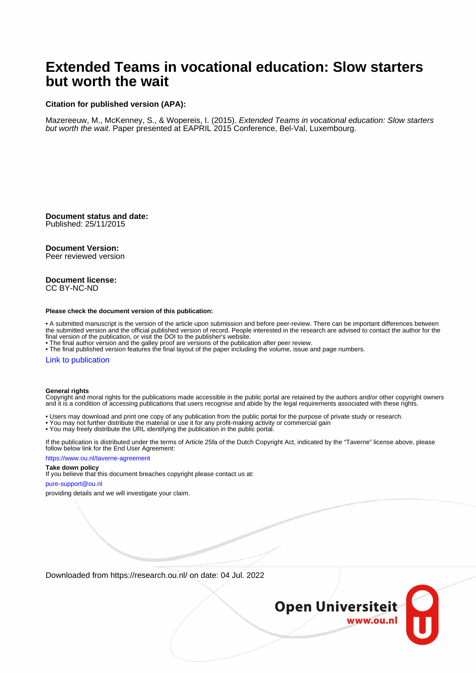# **Extended Teams in vocational education: Slow starters but worth the wait**

# **Citation for published version (APA):**

Mazereeuw, M., McKenney, S., & Wopereis, I. (2015). Extended Teams in vocational education: Slow starters but worth the wait. Paper presented at EAPRIL 2015 Conference, Bel-Val, Luxembourg.

**Document status and date:** Published: 25/11/2015

## **Document Version:**

Peer reviewed version

### **Document license:** CC BY-NC-ND

#### **Please check the document version of this publication:**

• A submitted manuscript is the version of the article upon submission and before peer-review. There can be important differences between the submitted version and the official published version of record. People interested in the research are advised to contact the author for the final version of the publication, or visit the DOI to the publisher's website.

• The final author version and the galley proof are versions of the publication after peer review.

• The final published version features the final layout of the paper including the volume, issue and page numbers.

#### [Link to publication](https://research.ou.nl/en/publications/cc9e7fbf-cfca-45de-b9a2-a2ff0714b20e)

#### **General rights**

Copyright and moral rights for the publications made accessible in the public portal are retained by the authors and/or other copyright owners and it is a condition of accessing publications that users recognise and abide by the legal requirements associated with these rights.

- Users may download and print one copy of any publication from the public portal for the purpose of private study or research.
- You may not further distribute the material or use it for any profit-making activity or commercial gain
- You may freely distribute the URL identifying the publication in the public portal.

If the publication is distributed under the terms of Article 25fa of the Dutch Copyright Act, indicated by the "Taverne" license above, please follow below link for the End User Agreement:

#### https://www.ou.nl/taverne-agreement

# **Take down policy**

If you believe that this document breaches copyright please contact us at:

#### pure-support@ou.nl

providing details and we will investigate your claim.

Downloaded from https://research.ou.nl/ on date: 04 Jul. 2022

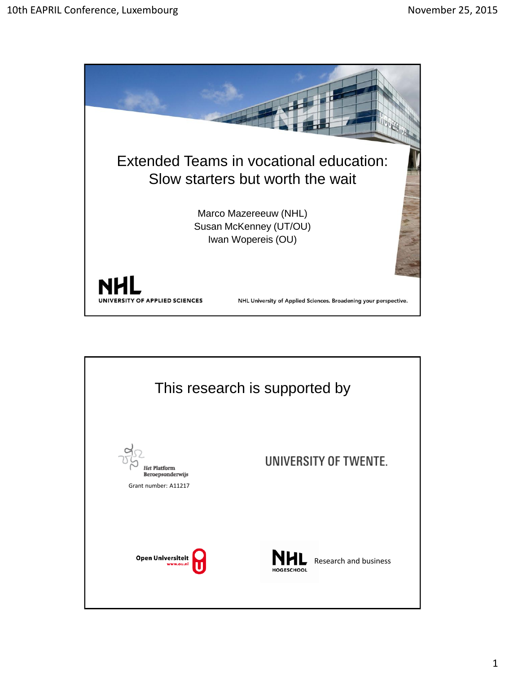

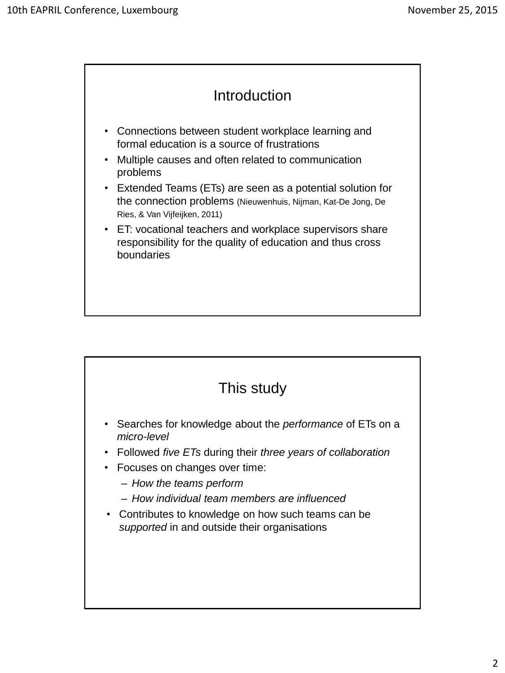

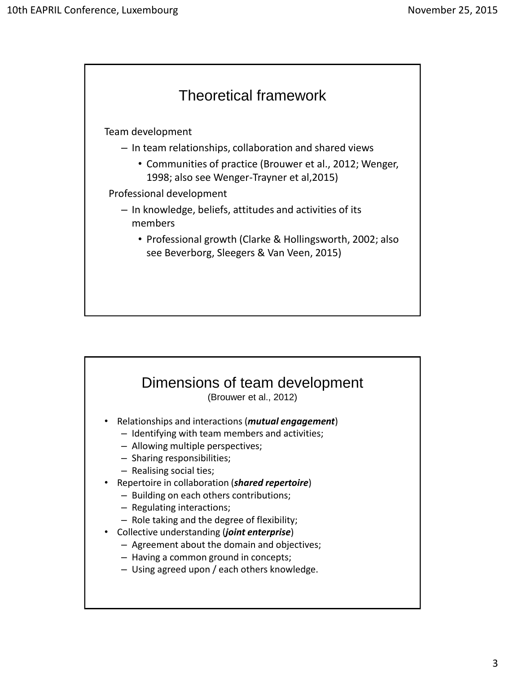

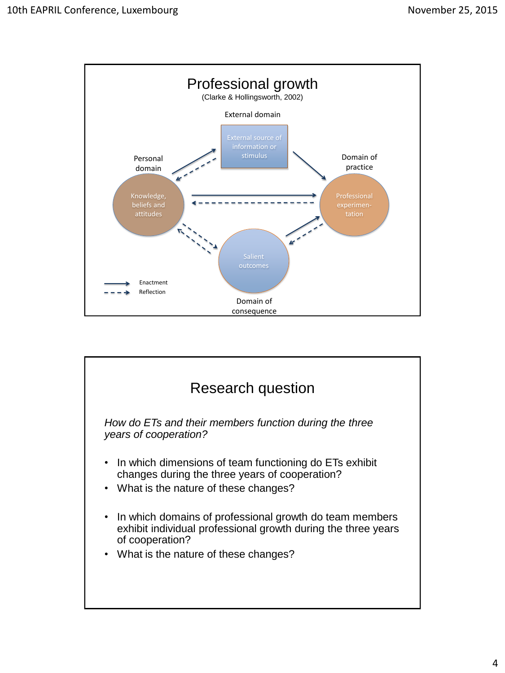

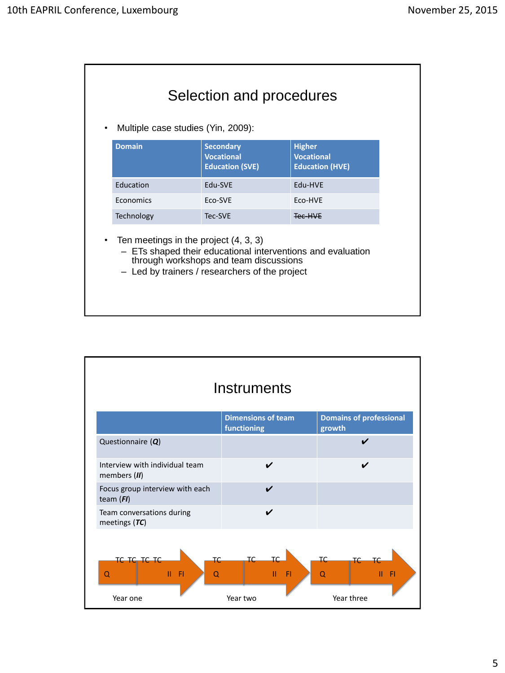| <b>Domain</b>                         | <b>Secondary</b><br><b>Vocational</b><br><b>Education (SVE)</b>                                                                                         | <b>Higher</b><br><b>Vocational</b><br><b>Education (HVE)</b> |
|---------------------------------------|---------------------------------------------------------------------------------------------------------------------------------------------------------|--------------------------------------------------------------|
| Education                             | <b>Fdu-SVF</b>                                                                                                                                          | Fdu-HVF                                                      |
| Economics                             | <b>ECO-SVE</b>                                                                                                                                          | <b>FCO-HVF</b>                                               |
| Technology                            | Tec-SVE                                                                                                                                                 | Tec-HVE                                                      |
| Ten meetings in the project (4, 3, 3) | - ETs shaped their educational interventions and evaluation<br>through workshops and team discussions<br>- Led by trainers / researchers of the project |                                                              |

|                                                             | Instruments                                 |                                                 |
|-------------------------------------------------------------|---------------------------------------------|-------------------------------------------------|
|                                                             | <b>Dimensions of team</b><br>functioning    | <b>Domains of professional</b><br>growth        |
| Questionnaire $(Q)$                                         |                                             | ✓                                               |
| Interview with individual team<br>members (II)              | ✔                                           | ✔                                               |
| Focus group interview with each<br>team $(FI)$              |                                             |                                                 |
| Team conversations during<br>meetings $(TC)$                | V                                           |                                                 |
| TC TC TC TC<br>ŦĊ<br>$II$ $F1$<br>$\Omega$<br>Q<br>Year one | ТC<br>т٢<br>П<br>F <sub>1</sub><br>Year two | <b>TC</b><br>ТC<br>Ш<br>- Fl<br>Q<br>Year three |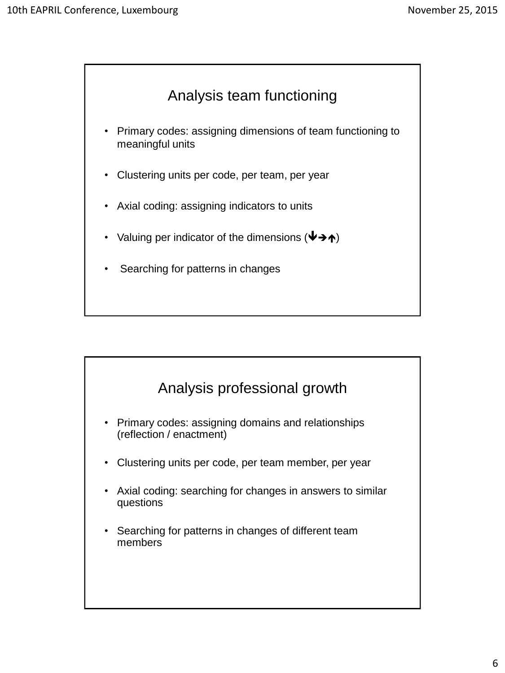

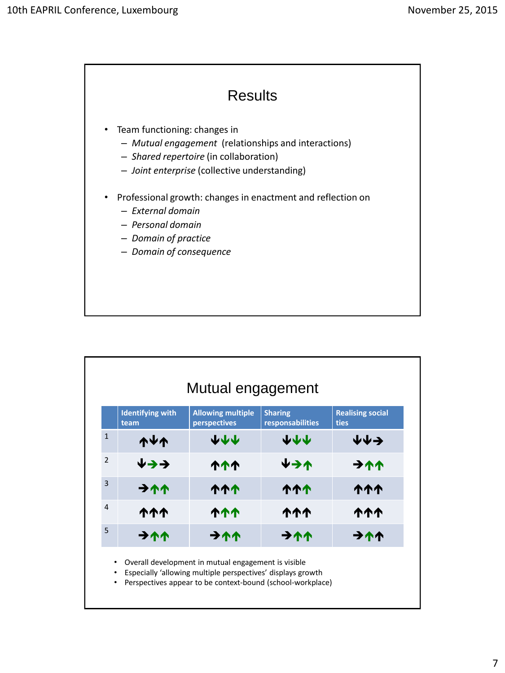

|                | Mutual engagement               |                                          |                                    |                                        |
|----------------|---------------------------------|------------------------------------------|------------------------------------|----------------------------------------|
|                | <b>Identifying with</b><br>team | <b>Allowing multiple</b><br>perspectives | <b>Sharing</b><br>responsabilities | <b>Realising social</b><br><b>ties</b> |
| $\mathbf{1}$   | <b>TAV</b>                      | 小小小                                      | 444                                | 业↓→                                    |
| $\overline{2}$ | ↓→→                             | ተተተ                                      | ↓→↑                                | 711                                    |
| 3              | 711                             | <b>111</b>                               | <b>111</b>                         | <b>ተተተ</b>                             |
| 4              | <b>ለተተ</b>                      | ተተተ                                      | <b>ተተተ</b>                         | <b>111</b>                             |
| 5              | 711                             | 711                                      | 711                                | 711                                    |

• Especially 'allowing multiple perspectives' displays growth

• Perspectives appear to be context-bound (school-workplace)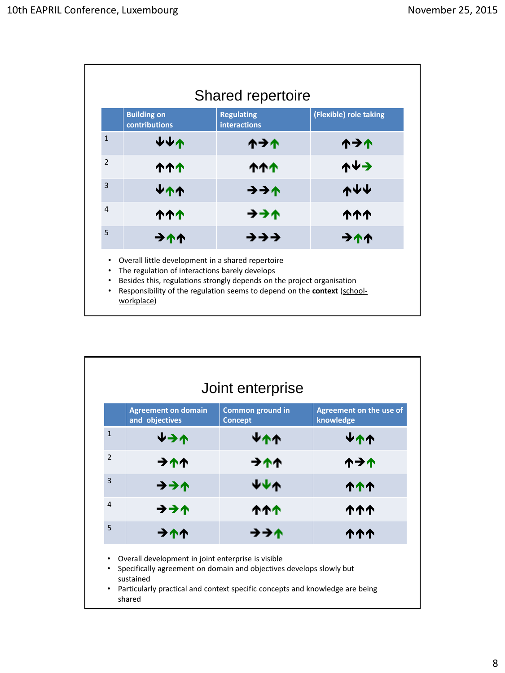|                                          | <b>Building on</b><br>contributions                                                                                                                                                                                                                                            | <b>Regulating</b><br><b>interactions</b> | (Flexible) role taking |
|------------------------------------------|--------------------------------------------------------------------------------------------------------------------------------------------------------------------------------------------------------------------------------------------------------------------------------|------------------------------------------|------------------------|
| $\mathbf{1}$                             | ₩₩₩                                                                                                                                                                                                                                                                            | ለታተ                                      | ተታተ                    |
| $\overline{2}$                           | <b>111</b>                                                                                                                                                                                                                                                                     | <b>ለተተ</b>                               | ↑↓→                    |
| $\overline{3}$                           | <b>Ψ个个</b>                                                                                                                                                                                                                                                                     | ナナイ                                      | <b>ለ</b> ቀ             |
| 4                                        | <b>111</b>                                                                                                                                                                                                                                                                     | ナナイ                                      | <b>ተተተ</b>             |
| 5                                        | $\rightarrow$ ለላ                                                                                                                                                                                                                                                               | ナナナ                                      | 711                    |
| $\bullet$<br>٠<br>$\bullet$<br>$\bullet$ | Overall little development in a shared repertoire<br>The regulation of interactions barely develops<br>Besides this, regulations strongly depends on the project organisation<br>Responsibility of the regulation seems to depend on the <b>context</b> (school-<br>workplace) |                                          |                        |

|                | <b>Agreement on domain</b><br>and objectives | Common ground in<br><b>Concept</b> | Agreement on the use of<br>knowledge |
|----------------|----------------------------------------------|------------------------------------|--------------------------------------|
| $\mathbf{1}$   | ルライ                                          | ሦተተ                                | <b>Ψ个个</b>                           |
| $\overline{2}$ | 711                                          | 711                                | <b>イナイ</b>                           |
| $\overline{3}$ | ナナイ                                          | 小小小                                | <b>ለተተ</b>                           |
| $\overline{4}$ | ナナイ                                          | ተተተ                                | <b>ለተተ</b>                           |
| 5              | <b>711</b>                                   | ナナイ                                | <b>ለተተ</b>                           |

• Particularly practical and context specific concepts and knowledge are being shared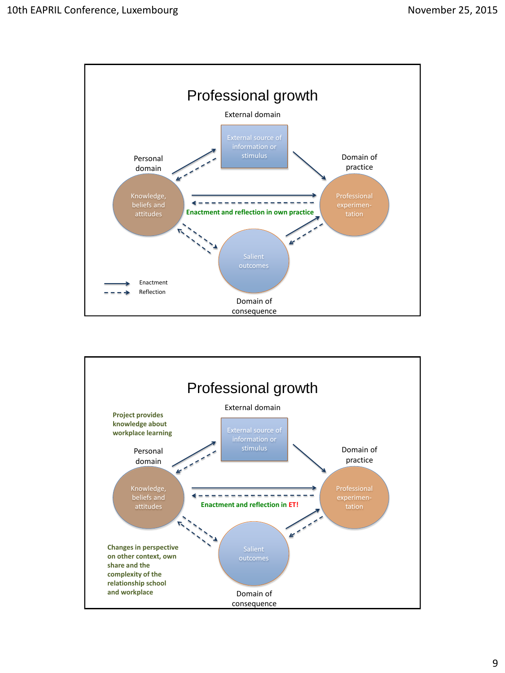

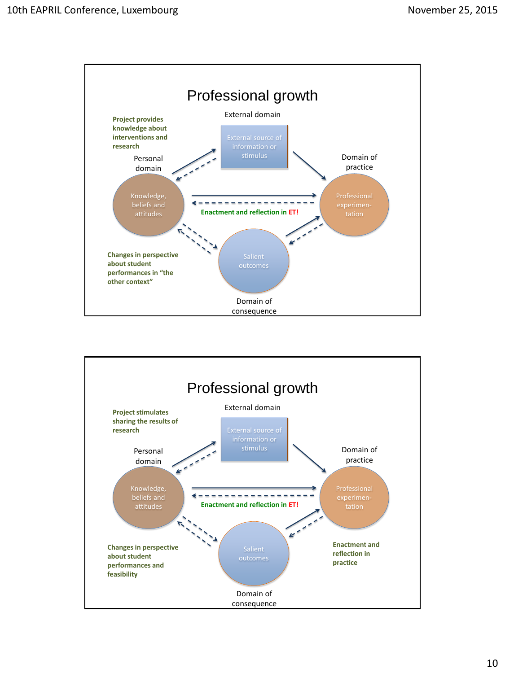

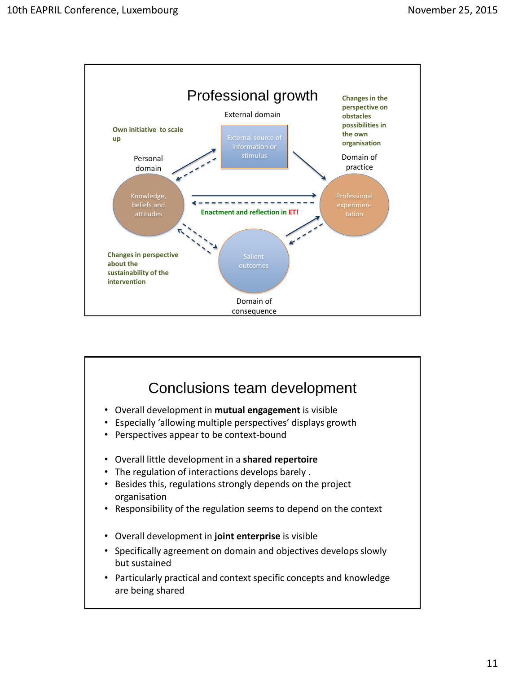